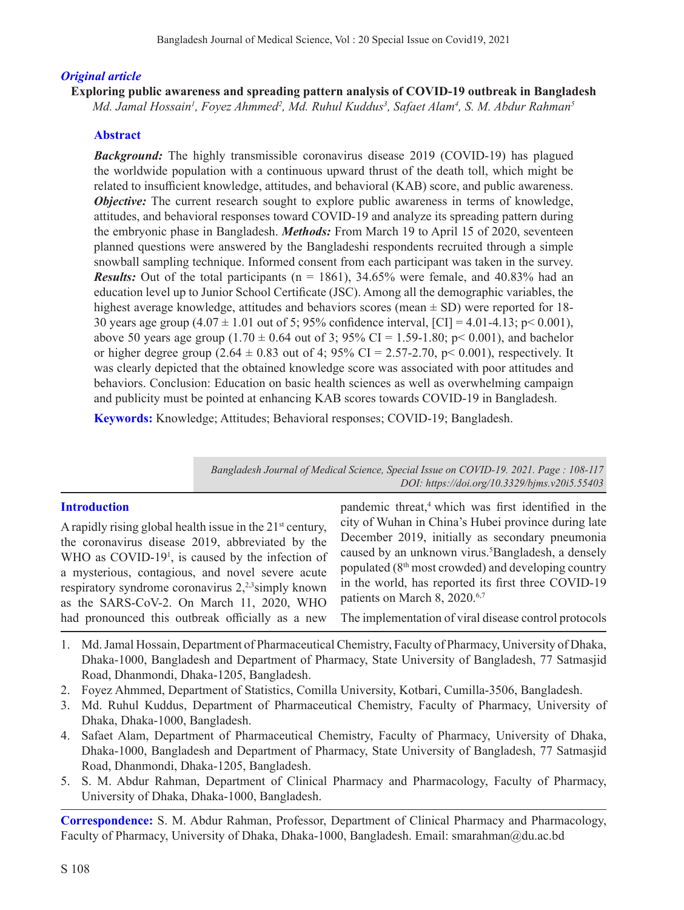### *Original article*

**Exploring public awareness and spreading pattern analysis of COVID-19 outbreak in Bangladesh** Md. Jamal Hossain<sup>1</sup>, Foyez Ahmmed<sup>2</sup>, Md. Ruhul Kuddus<sup>3</sup>, Safaet Alam<sup>4</sup>, S. M. Abdur Rahman<sup>s</sup>

### **Abstract**

*Background:* The highly transmissible coronavirus disease 2019 (COVID-19) has plagued the worldwide population with a continuous upward thrust of the death toll, which might be related to insufficient knowledge, attitudes, and behavioral (KAB) score, and public awareness. *Objective:* The current research sought to explore public awareness in terms of knowledge, attitudes, and behavioral responses toward COVID-19 and analyze its spreading pattern during the embryonic phase in Bangladesh. *Methods:* From March 19 to April 15 of 2020, seventeen planned questions were answered by the Bangladeshi respondents recruited through a simple snowball sampling technique. Informed consent from each participant was taken in the survey. *Results:* Out of the total participants ( $n = 1861$ ), 34.65% were female, and 40.83% had an education level up to Junior School Certificate (JSC). Among all the demographic variables, the highest average knowledge, attitudes and behaviors scores (mean  $\pm$  SD) were reported for 18-30 years age group  $(4.07 \pm 1.01)$  out of 5; 95% confidence interval, [CI] = 4.01-4.13; p < 0.001), above 50 years age group  $(1.70 \pm 0.64$  out of 3; 95% CI = 1.59-1.80; p < 0.001), and bachelor or higher degree group (2.64  $\pm$  0.83 out of 4; 95% CI = 2.57-2.70, p< 0.001), respectively. It was clearly depicted that the obtained knowledge score was associated with poor attitudes and behaviors. Conclusion: Education on basic health sciences as well as overwhelming campaign and publicity must be pointed at enhancing KAB scores towards COVID-19 in Bangladesh.

**Keywords:** Knowledge; Attitudes; Behavioral responses; COVID-19; Bangladesh.

*Bangladesh Journal of Medical Science, Special Issue on COVID-19. 2021. Page : 108-117 DOI: https://doi.org/10.3329/bjms.v20i5.55403* 

#### **Introduction**

A rapidly rising global health issue in the  $21<sup>st</sup>$  century, the coronavirus disease 2019, abbreviated by the WHO as  $COVID-19<sup>1</sup>$ , is caused by the infection of a mysterious, contagious, and novel severe acute respiratory syndrome coronavirus  $2,3$ <sup>3</sup>simply known as the SARS-CoV-2. On March 11, 2020, WHO had pronounced this outbreak officially as a new

pandemic threat,<sup>4</sup> which was first identified in the city of Wuhan in China's Hubei province during late December 2019, initially as secondary pneumonia caused by an unknown virus.<sup>5</sup>Bangladesh, a densely populated  $(8<sup>th</sup>$  most crowded) and developing country in the world, has reported its first three COVID-19 patients on March 8, 2020.<sup>6,7</sup>

The implementation of viral disease control protocols

- 1. Md. Jamal Hossain, Department of Pharmaceutical Chemistry, Faculty of Pharmacy, University of Dhaka, Dhaka-1000, Bangladesh and Department of Pharmacy, State University of Bangladesh, 77 Satmasjid Road, Dhanmondi, Dhaka-1205, Bangladesh.
- 2. Foyez Ahmmed, Department of Statistics, Comilla University, Kotbari, Cumilla-3506, Bangladesh.
- 3. Md. Ruhul Kuddus, Department of Pharmaceutical Chemistry, Faculty of Pharmacy, University of Dhaka, Dhaka-1000, Bangladesh.
- 4. Safaet Alam, Department of Pharmaceutical Chemistry, Faculty of Pharmacy, University of Dhaka, Dhaka-1000, Bangladesh and Department of Pharmacy, State University of Bangladesh, 77 Satmasjid Road, Dhanmondi, Dhaka-1205, Bangladesh.
- 5. S. M. Abdur Rahman, Department of Clinical Pharmacy and Pharmacology, Faculty of Pharmacy, University of Dhaka, Dhaka-1000, Bangladesh.

**Correspondence:** S. M. Abdur Rahman, Professor, Department of Clinical Pharmacy and Pharmacology, Faculty of Pharmacy, University of Dhaka, Dhaka-1000, Bangladesh. Email: smarahman@du.ac.bd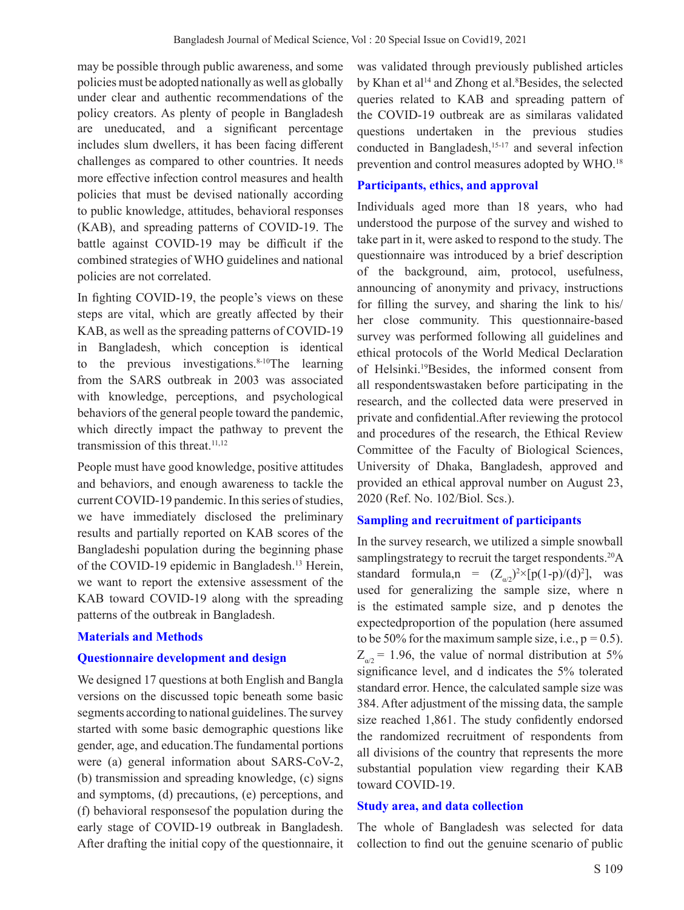may be possible through public awareness, and some policies must be adopted nationally as well as globally under clear and authentic recommendations of the policy creators. As plenty of people in Bangladesh are uneducated, and a significant percentage includes slum dwellers, it has been facing different challenges as compared to other countries. It needs more effective infection control measures and health policies that must be devised nationally according to public knowledge, attitudes, behavioral responses (KAB), and spreading patterns of COVID-19. The battle against COVID-19 may be difficult if the combined strategies of WHO guidelines and national policies are not correlated.

In fighting COVID-19, the people's views on these steps are vital, which are greatly affected by their KAB, as well as the spreading patterns of COVID-19 in Bangladesh, which conception is identical to the previous investigations.<sup>8-10</sup>The learning from the SARS outbreak in 2003 was associated with knowledge, perceptions, and psychological behaviors of the general people toward the pandemic, which directly impact the pathway to prevent the transmission of this threat. $11,12$ 

People must have good knowledge, positive attitudes and behaviors, and enough awareness to tackle the current COVID-19 pandemic. In this series of studies, we have immediately disclosed the preliminary results and partially reported on KAB scores of the Bangladeshi population during the beginning phase of the COVID-19 epidemic in Bangladesh.<sup>13</sup> Herein, we want to report the extensive assessment of the KAB toward COVID-19 along with the spreading patterns of the outbreak in Bangladesh.

#### **Materials and Methods**

#### **Questionnaire development and design**

We designed 17 questions at both English and Bangla versions on the discussed topic beneath some basic segments according to national guidelines. The survey started with some basic demographic questions like gender, age, and education.The fundamental portions were (a) general information about SARS-CoV-2, (b) transmission and spreading knowledge, (c) signs and symptoms, (d) precautions, (e) perceptions, and (f) behavioral responsesof the population during the early stage of COVID-19 outbreak in Bangladesh. After drafting the initial copy of the questionnaire, it

was validated through previously published articles by Khan et al<sup>14</sup> and Zhong et al.<sup>8</sup>Besides, the selected queries related to KAB and spreading pattern of the COVID-19 outbreak are as similaras validated questions undertaken in the previous studies conducted in Bangladesh,<sup>15-17</sup> and several infection prevention and control measures adopted by WHO.<sup>18</sup>

#### **Participants, ethics, and approval**

Individuals aged more than 18 years, who had understood the purpose of the survey and wished to take part in it, were asked to respond to the study. The questionnaire was introduced by a brief description of the background, aim, protocol, usefulness, announcing of anonymity and privacy, instructions for filling the survey, and sharing the link to his/ her close community. This questionnaire-based survey was performed following all guidelines and ethical protocols of the World Medical Declaration of Helsinki.19Besides, the informed consent from all respondentswastaken before participating in the research, and the collected data were preserved in private and confidential.After reviewing the protocol and procedures of the research, the Ethical Review Committee of the Faculty of Biological Sciences, University of Dhaka, Bangladesh, approved and provided an ethical approval number on August 23, 2020 (Ref. No. 102/Biol. Scs.).

#### **Sampling and recruitment of participants**

In the survey research, we utilized a simple snowball samplingstrategy to recruit the target respondents.<sup>20</sup>A standard formula,n =  $(Z_{\alpha/2})^2 \times [p(1-p)/(d)^2]$ , was used for generalizing the sample size, where n is the estimated sample size, and p denotes the expectedproportion of the population (here assumed to be 50% for the maximum sample size, i.e.,  $p = 0.5$ ).  $Z_{\alpha/2}$  = 1.96, the value of normal distribution at 5% significance level, and d indicates the 5% tolerated standard error. Hence, the calculated sample size was 384. After adjustment of the missing data, the sample size reached 1,861. The study confidently endorsed the randomized recruitment of respondents from all divisions of the country that represents the more substantial population view regarding their KAB toward COVID-19.

#### **Study area, and data collection**

The whole of Bangladesh was selected for data collection to find out the genuine scenario of public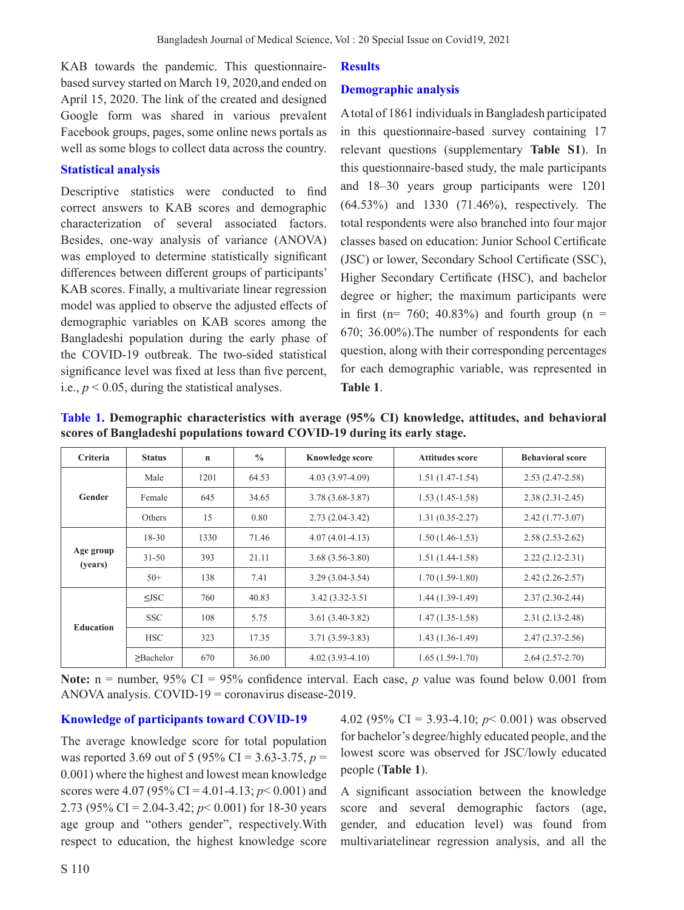KAB towards the pandemic. This questionnairebased survey started on March 19, 2020,and ended on April 15, 2020. The link of the created and designed Google form was shared in various prevalent Facebook groups, pages, some online news portals as well as some blogs to collect data across the country.

#### **Statistical analysis**

Descriptive statistics were conducted to find correct answers to KAB scores and demographic characterization of several associated factors. Besides, one-way analysis of variance (ANOVA) was employed to determine statistically significant differences between different groups of participants' KAB scores. Finally, a multivariate linear regression model was applied to observe the adjusted effects of demographic variables on KAB scores among the Bangladeshi population during the early phase of the COVID-19 outbreak. The two-sided statistical significance level was fixed at less than five percent, i.e.,  $p < 0.05$ , during the statistical analyses.

#### **Results**

#### **Demographic analysis**

A total of 1861 individuals in Bangladesh participated in this questionnaire-based survey containing 17 relevant questions (supplementary **Table S1**). In this questionnaire-based study, the male participants and 18–30 years group participants were 1201 (64.53%) and 1330 (71.46%), respectively. The total respondents were also branched into four major classes based on education: Junior School Certificate (JSC) or lower, Secondary School Certificate (SSC), Higher Secondary Certificate (HSC), and bachelor degree or higher; the maximum participants were in first ( $n= 760$ ; 40.83%) and fourth group ( $n =$ 670; 36.00%).The number of respondents for each question, along with their corresponding percentages for each demographic variable, was represented in **Table 1**.

**Criteria Status n % Knowledge score Attitudes score Behavioral score Gender** Male 1201 64.53 4.03 (3.97-4.09) 1.51 (1.47-1.54) 2.53 (2.47-2.58) Female 645 34.65 3.78 (3.68-3.87) 1.53 (1.45-1.58) 2.38 (2.31-2.45) Others 15 0.80 2.73 (2.04-3.42) 1.31 (0.35-2.27) 2.42 (1.77-3.07) **Age group (years)** 18-30 1330 71.46 4.07 (4.01-4.13) 1.50 (1.46-1.53) 2.58 (2.53-2.62) 31-50 393 21.11 3.68 (3.56-3.80) 1.51 (1.44-1.58) 2.22 (2.12-2.31) 50+ 138 7.41 3.29 (3.04-3.54) 1.70 (1.59-1.80) 2.42 (2.26-2.57) **Education ≤**JSC 760 40.83 3.42 (3.32-3.51 1.44 (1.39-1.49) 2.37 (2.30-2.44) SSC 108 5.75 3.61 (3.40-3.82) 1.47 (1.35-1.58) 2.31 (2.13-2.48) HSC 323 17.35 3.71 (3.59-3.83) 1.43 (1.36-1.49) 2.47 (2.37-2.56) **≥Bachelor 670 36.00 4.02 (3.93-4.10) 1.65 (1.59-1.70) 2.64 (2.57-2.70)** 

**Table 1. Demographic characteristics with average (95% CI) knowledge, attitudes, and behavioral scores of Bangladeshi populations toward COVID-19 during its early stage.**

**Note:** n = number, 95% CI = 95% confidence interval. Each case, *p* value was found below 0.001 from ANOVA analysis. COVID-19 = coronavirus disease-2019.

#### **Knowledge of participants toward COVID-19**

The average knowledge score for total population was reported 3.69 out of 5 (95% CI = 3.63-3.75, *p* = 0.001) where the highest and lowest mean knowledge scores were 4.07 (95% CI = 4.01-4.13;  $p < 0.001$ ) and 2.73 (95% CI = 2.04-3.42; *p*< 0.001) for 18-30 years age group and "others gender", respectively.With respect to education, the highest knowledge score 4.02 (95% CI = 3.93-4.10; *p*< 0.001) was observed for bachelor's degree/highly educated people, and the lowest score was observed for JSC/lowly educated people (**Table 1**).

A significant association between the knowledge score and several demographic factors (age, gender, and education level) was found from multivariatelinear regression analysis, and all the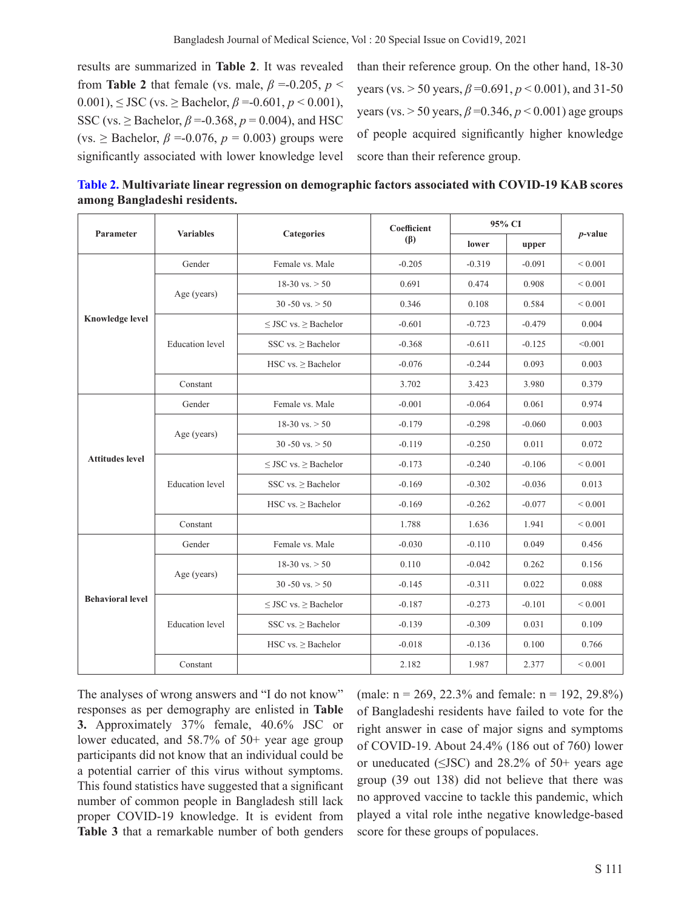results are summarized in **Table 2**. It was revealed from **Table 2** that female (vs. male,  $\beta = 0.205$ ,  $p <$ 0.001),  $\leq$  JSC (vs.  $\geq$  Bachelor,  $\beta$  =-0.601,  $p < 0.001$ ), SSC (vs.  $\geq$  Bachelor,  $\beta$  =-0.368,  $p$  = 0.004), and HSC (vs.  $\geq$  Bachelor,  $\beta$  =-0.076,  $p = 0.003$ ) groups were significantly associated with lower knowledge level than their reference group. On the other hand, 18-30 years (vs. > 50 years, *β* =0.691, *p* < 0.001), and 31-50 years (vs. > 50 years, *β* =0.346, *p* < 0.001) age groups of people acquired significantly higher knowledge score than their reference group.

| Table 2. Multivariate linear regression on demographic factors associated with COVID-19 KAB scores |  |
|----------------------------------------------------------------------------------------------------|--|
| among Bangladeshi residents.                                                                       |  |

| Parameter               | <b>Variables</b>       | <b>Categories</b>              | Coefficient | 95% CI   | $p$ -value |             |
|-------------------------|------------------------|--------------------------------|-------------|----------|------------|-------------|
|                         |                        |                                | $(\beta)$   | lower    | upper      |             |
|                         | Gender                 | Female vs. Male                | $-0.205$    | $-0.319$ | $-0.091$   | ${}< 0.001$ |
|                         |                        | $18-30$ vs. $> 50$             | 0.691       | 0.474    | 0.908      | ${}< 0.001$ |
|                         | Age (years)            | $30 - 50$ vs. $> 50$           | 0.346       | 0.108    | 0.584      | ${}< 0.001$ |
| <b>Knowledge level</b>  |                        | $\leq$ JSC vs. $\geq$ Bachelor | $-0.601$    | $-0.723$ | $-0.479$   | 0.004       |
|                         | <b>Education</b> level | SSC vs. $\geq$ Bachelor        | $-0.368$    | $-0.611$ | $-0.125$   | < 0.001     |
|                         |                        | HSC vs. $\geq$ Bachelor        | $-0.076$    | $-0.244$ | 0.093      | 0.003       |
|                         | Constant               |                                | 3.702       | 3.423    | 3.980      | 0.379       |
|                         | Gender                 | Female vs. Male                | $-0.001$    | $-0.064$ | 0.061      | 0.974       |
|                         | Age (years)            | $18-30$ vs. $> 50$             | $-0.179$    | $-0.298$ | $-0.060$   | 0.003       |
| <b>Attitudes level</b>  |                        | $30 - 50$ vs. $> 50$           | $-0.119$    | $-0.250$ | 0.011      | 0.072       |
|                         | <b>Education</b> level | $\leq$ JSC vs. $\geq$ Bachelor | $-0.173$    | $-0.240$ | $-0.106$   | ${}< 0.001$ |
|                         |                        | SSC vs. $\geq$ Bachelor        | $-0.169$    | $-0.302$ | $-0.036$   | 0.013       |
|                         |                        | HSC vs. $\geq$ Bachelor        | $-0.169$    | $-0.262$ | $-0.077$   | ${}< 0.001$ |
| Constant                |                        |                                | 1.788       | 1.636    | 1.941      | ${}< 0.001$ |
|                         | Gender                 | Female vs. Male                | $-0.030$    | $-0.110$ | 0.049      | 0.456       |
|                         |                        | $18-30$ vs. $> 50$             | 0.110       | $-0.042$ | 0.262      | 0.156       |
|                         | Age (years)            | 30 -50 $vs. > 50$              | $-0.145$    | $-0.311$ | 0.022      | 0.088       |
| <b>Behavioral level</b> |                        | $\leq$ JSC vs. $\geq$ Bachelor | $-0.187$    | $-0.273$ | $-0.101$   | ${}< 0.001$ |
|                         | <b>Education</b> level | SSC vs. $\geq$ Bachelor        | $-0.139$    | $-0.309$ | 0.031      | 0.109       |
|                         |                        | HSC vs. $\geq$ Bachelor        | $-0.018$    | $-0.136$ | 0.100      | 0.766       |
|                         | Constant               |                                | 2.182       | 1.987    | 2.377      | ${}< 0.001$ |

The analyses of wrong answers and "I do not know" responses as per demography are enlisted in **Table 3.** Approximately 37% female, 40.6% JSC or lower educated, and 58.7% of 50+ year age group participants did not know that an individual could be a potential carrier of this virus without symptoms. This found statistics have suggested that a significant number of common people in Bangladesh still lack proper COVID-19 knowledge. It is evident from **Table 3** that a remarkable number of both genders (male:  $n = 269$ , 22.3% and female:  $n = 192$ , 29.8%) of Bangladeshi residents have failed to vote for the right answer in case of major signs and symptoms of COVID-19. About 24.4% (186 out of 760) lower or uneducated  $(\leq$ JSC) and 28.2% of 50+ years age group (39 out 138) did not believe that there was no approved vaccine to tackle this pandemic, which played a vital role inthe negative knowledge-based score for these groups of populaces.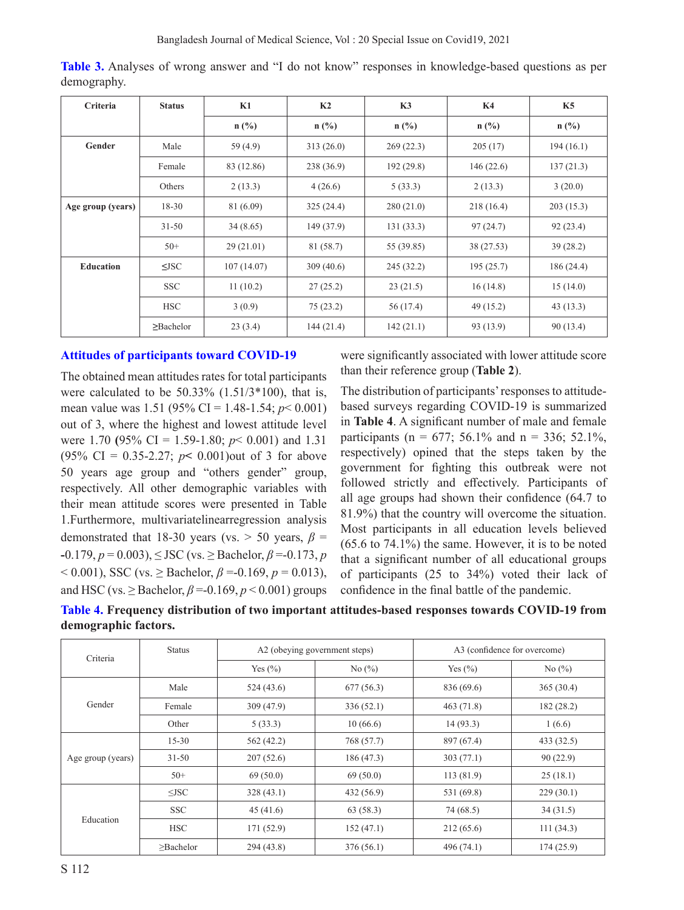| Criteria          | <b>Status</b> | K1         | K2             | K3             | K <sub>4</sub> | K <sub>5</sub> |
|-------------------|---------------|------------|----------------|----------------|----------------|----------------|
|                   |               | $n$ (%)    | $n(^{0}/_{0})$ | $n(^{0}/_{0})$ | $n$ (%)        | $n(^{0}/_{0})$ |
| Gender            | Male          | 59 (4.9)   | 313(26.0)      | 269(22.3)      | 205(17)        | 194(16.1)      |
|                   | Female        | 83 (12.86) | 238 (36.9)     | 192 (29.8)     | 146(22.6)      | 137(21.3)      |
|                   | Others        | 2(13.3)    | 4(26.6)        | 5(33.3)        | 2(13.3)        | 3(20.0)        |
| Age group (years) | $18 - 30$     | 81 (6.09)  | 325(24.4)      | 280(21.0)      | 218 (16.4)     | 203(15.3)      |
|                   | $31 - 50$     | 34 (8.65)  | 149 (37.9)     | 131(33.3)      | 97(24.7)       | 92(23.4)       |
|                   | $50+$         | 29(21.01)  | 81 (58.7)      | 55 (39.85)     | 38 (27.53)     | 39(28.2)       |
| <b>Education</b>  | $\leq$ JSC    | 107(14.07) | 309(40.6)      | 245 (32.2)     | 195(25.7)      | 186(24.4)      |
|                   | <b>SSC</b>    | 11(10.2)   | 27(25.2)       | 23(21.5)       | 16(14.8)       | 15(14.0)       |
|                   | <b>HSC</b>    | 3(0.9)     | 75(23.2)       | 56 (17.4)      | 49 (15.2)      | 43(13.3)       |
|                   | >Bachelor     | 23(3.4)    | 144(21.4)      | 142(21.1)      | 93 (13.9)      | 90(13.4)       |

**Table 3.** Analyses of wrong answer and "I do not know" responses in knowledge-based questions as per demography.

#### **Attitudes of participants toward COVID-19**

The obtained mean attitudes rates for total participants were calculated to be 50.33% (1.51/3\*100), that is, mean value was 1.51 (95% CI = 1.48-1.54; *p*< 0.001) out of 3, where the highest and lowest attitude level were 1.70 **(**95% CI = 1.59-1.80; *p*< 0.001) and 1.31 (95% CI = 0.35-2.27; *p***<** 0.001)out of 3 for above 50 years age group and "others gender" group, respectively. All other demographic variables with their mean attitude scores were presented in Table 1.Furthermore, multivariatelinearregression analysis demonstrated that 18-30 years (vs.  $>$  50 years,  $\beta$  = **-**0.179, *p* = 0.003), ≤ JSC (vs. ≥ Bachelor, *β* =-0.173, *p*   $< 0.001$ ), SSC (vs.  $\geq$  Bachelor,  $\beta = 0.169$ ,  $p = 0.013$ ), and HSC (vs.  $\geq$  Bachelor,  $\beta$  =-0.169,  $p$  < 0.001) groups were significantly associated with lower attitude score than their reference group (**Table 2**).

The distribution of participants' responses to attitudebased surveys regarding COVID-19 is summarized in **Table 4**. A significant number of male and female participants ( $n = 677$ ; 56.1% and  $n = 336$ ; 52.1%, respectively) opined that the steps taken by the government for fighting this outbreak were not followed strictly and effectively. Participants of all age groups had shown their confidence (64.7 to 81.9%) that the country will overcome the situation. Most participants in all education levels believed (65.6 to 74.1%) the same. However, it is to be noted that a significant number of all educational groups of participants (25 to 34%) voted their lack of confidence in the final battle of the pandemic.

| Table 4. Frequency distribution of two important attitudes-based responses towards COVID-19 from |  |  |  |
|--------------------------------------------------------------------------------------------------|--|--|--|
| demographic factors.                                                                             |  |  |  |

| Criteria          | <b>Status</b> |             | A2 (obeying government steps) | A3 (confidence for overcome) |            |
|-------------------|---------------|-------------|-------------------------------|------------------------------|------------|
|                   |               | Yes $(\% )$ | No $(\%)$                     | Yes $(\% )$                  | No $(\%)$  |
|                   | Male          | 524(43.6)   | 677(56.3)                     | 836 (69.6)                   | 365(30.4)  |
| Gender            | Female        | 309(47.9)   | 336(52.1)                     | 463 (71.8)                   | 182 (28.2) |
|                   | Other         | 5(33.3)     | 10(66.6)                      | 14(93.3)                     | 1(6.6)     |
| Age group (years) | $15 - 30$     | 562 (42.2)  | 768 (57.7)                    | 897 (67.4)                   | 433 (32.5) |
|                   | $31 - 50$     | 207(52.6)   | 186 (47.3)                    | 303(77.1)                    | 90(22.9)   |
|                   | $50+$         | 69(50.0)    | 69(50.0)                      | 113(81.9)                    | 25(18.1)   |
|                   | $\leq$ JSC    | 328(43.1)   | 432 (56.9)                    | 531 (69.8)                   | 229(30.1)  |
| Education         | <b>SSC</b>    | 45(41.6)    | 63 (58.3)                     | 74 (68.5)                    | 34(31.5)   |
|                   | <b>HSC</b>    | 171 (52.9)  | 152(47.1)                     | 212(65.6)                    | 111(34.3)  |
|                   | >Bachelor     | 294 (43.8)  | 376(56.1)                     | 496 (74.1)                   | 174(25.9)  |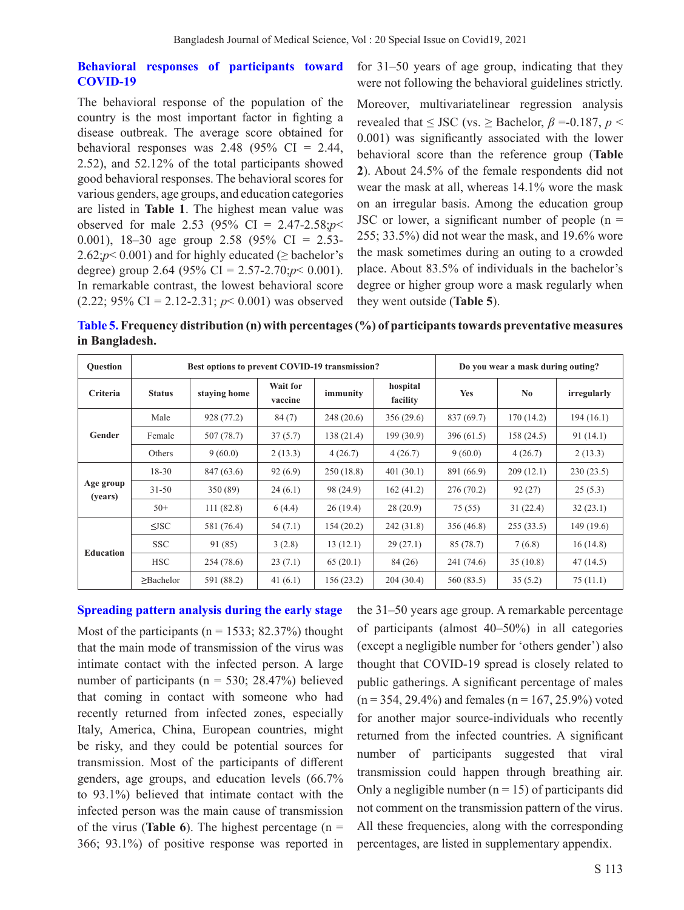### **Behavioral responses of participants toward COVID-19**

for 31–50 years of age group, indicating that they were not following the behavioral guidelines strictly.

The behavioral response of the population of the country is the most important factor in fighting a disease outbreak. The average score obtained for behavioral responses was  $2.48$  (95% CI = 2.44, 2.52), and 52.12% of the total participants showed good behavioral responses. The behavioral scores for various genders, age groups, and education categories are listed in **Table 1**. The highest mean value was observed for male 2.53 (95% CI = 2.47-2.58;*p*< 0.001), 18–30 age group 2.58 (95% CI = 2.53- 2.62; $p$ < 0.001) and for highly educated ( $\geq$  bachelor's degree) group 2.64 (95% CI = 2.57-2.70;*p*< 0.001). In remarkable contrast, the lowest behavioral score  $(2.22; 95\% \text{ CI} = 2.12 - 2.31; p < 0.001)$  was observed

Moreover, multivariatelinear regression analysis revealed that  $\leq$  JSC (vs.  $\geq$  Bachelor,  $\beta$  =-0.187,  $p$  < 0.001) was significantly associated with the lower behavioral score than the reference group (**Table 2**). About 24.5% of the female respondents did not wear the mask at all, whereas 14.1% wore the mask on an irregular basis. Among the education group JSC or lower, a significant number of people  $(n =$ 255; 33.5%) did not wear the mask, and 19.6% wore the mask sometimes during an outing to a crowded place. About 83.5% of individuals in the bachelor's degree or higher group wore a mask regularly when they went outside (**Table 5**).

**Table 5. Frequency distribution (n) with percentages (%) of participants towards preventative measures in Bangladesh.** 

| <b>Ouestion</b>      |               | Best options to prevent COVID-19 transmission? |                            | Do you wear a mask during outing? |                      |            |                |             |
|----------------------|---------------|------------------------------------------------|----------------------------|-----------------------------------|----------------------|------------|----------------|-------------|
| <b>Criteria</b>      | <b>Status</b> | staying home                                   | <b>Wait for</b><br>vaccine | immunity                          | hospital<br>facility | <b>Yes</b> | N <sub>0</sub> | irregularly |
|                      | Male          | 928 (77.2)                                     | 84(7)                      | 248(20.6)                         | 356 (29.6)           | 837 (69.7) | 170(14.2)      | 194(16.1)   |
| Gender               | Female        | 507(78.7)                                      | 37(5.7)                    | 138 (21.4)                        | 199(30.9)            | 396 (61.5) | 158(24.5)      | 91(14.1)    |
|                      | Others        | 9(60.0)                                        | 2(13.3)                    | 4(26.7)                           | 4(26.7)              | 9(60.0)    | 4(26.7)        | 2(13.3)     |
|                      | $18 - 30$     | 847 (63.6)                                     | 92(6.9)                    | 250(18.8)                         | 401(30.1)            | 891 (66.9) | 209(12.1)      | 230(23.5)   |
| Age group<br>(years) | $31 - 50$     | 350 (89)                                       | 24(6.1)                    | 98 (24.9)                         | 162(41.2)            | 276(70.2)  | 92(27)         | 25(5.3)     |
|                      | $50+$         | 111(82.8)                                      | 6(4.4)                     | 26(19.4)                          | 28(20.9)             | 75 (55)    | 31(22.4)       | 32(23.1)    |
|                      | $\leq$ JSC    | 581 (76.4)                                     | 54(7.1)                    | 154(20.2)                         | 242 (31.8)           | 356 (46.8) | 255(33.5)      | 149(19.6)   |
| <b>Education</b>     | <b>SSC</b>    | 91 (85)                                        | 3(2.8)                     | 13(12.1)                          | 29(27.1)             | 85 (78.7)  | 7(6.8)         | 16(14.8)    |
|                      | <b>HSC</b>    | 254(78.6)                                      | 23(7.1)                    | 65(20.1)                          | 84 (26)              | 241 (74.6) | 35(10.8)       | 47(14.5)    |
|                      | >Bachelor     | 591 (88.2)                                     | 41 $(6.1)$                 | 156 (23.2)                        | 204(30.4)            | 560 (83.5) | 35(5.2)        | 75(11.1)    |

**Spreading pattern analysis during the early stage**

Most of the participants ( $n = 1533$ ; 82.37%) thought that the main mode of transmission of the virus was intimate contact with the infected person. A large number of participants ( $n = 530$ ; 28.47%) believed that coming in contact with someone who had recently returned from infected zones, especially Italy, America, China, European countries, might be risky, and they could be potential sources for transmission. Most of the participants of different genders, age groups, and education levels (66.7% to 93.1%) believed that intimate contact with the infected person was the main cause of transmission of the virus (**Table 6**). The highest percentage ( $n =$ 366; 93.1%) of positive response was reported in

the 31–50 years age group. A remarkable percentage of participants (almost 40–50%) in all categories (except a negligible number for 'others gender') also thought that COVID-19 spread is closely related to public gatherings. A significant percentage of males  $(n = 354, 29.4\%)$  and females  $(n = 167, 25.9\%)$  voted for another major source-individuals who recently returned from the infected countries. A significant number of participants suggested that viral transmission could happen through breathing air. Only a negligible number  $(n = 15)$  of participants did not comment on the transmission pattern of the virus. All these frequencies, along with the corresponding percentages, are listed in supplementary appendix.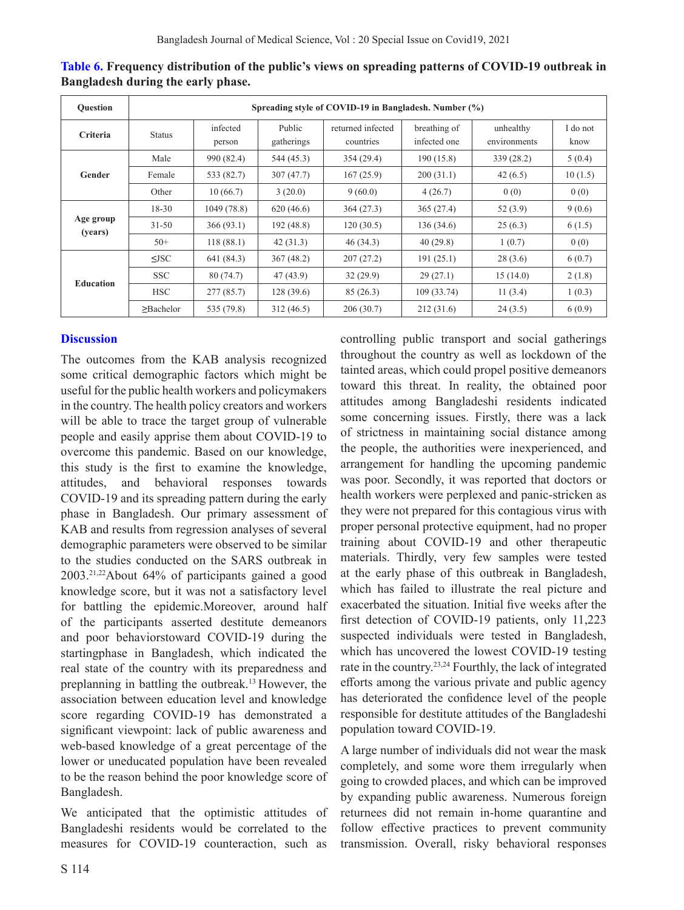| <b>Ouestion</b>      | Spreading style of COVID-19 in Bangladesh. Number (%) |                    |                      |                                |                              |                           |                  |  |
|----------------------|-------------------------------------------------------|--------------------|----------------------|--------------------------------|------------------------------|---------------------------|------------------|--|
| <b>Criteria</b>      | <b>Status</b>                                         | infected<br>person | Public<br>gatherings | returned infected<br>countries | breathing of<br>infected one | unhealthy<br>environments | I do not<br>know |  |
|                      | Male                                                  | 990 (82.4)         | 544 (45.3)           | 354 (29.4)                     | 190 (15.8)                   | 339 (28.2)                | 5(0.4)           |  |
| Gender               | Female                                                | 533 (82.7)         | 307(47.7)            | 167(25.9)                      | 200(31.1)                    | 42 $(6.5)$                | 10(1.5)          |  |
|                      | Other                                                 | 10(66.7)           | 3(20.0)              | 9(60.0)                        | 4(26.7)                      | 0(0)                      | 0(0)             |  |
|                      | $18 - 30$                                             | 1049 (78.8)        | 620(46.6)            | 364(27.3)                      | 365(27.4)                    | 52 $(3.9)$                | 9(0.6)           |  |
| Age group<br>(years) | $31 - 50$                                             | 366(93.1)          | 192(48.8)            | 120(30.5)                      | 136 (34.6)                   | 25(6.3)                   | 6(1.5)           |  |
|                      | $50+$                                                 | 118(88.1)          | 42(31.3)             | 46 (34.3)                      | 40(29.8)                     | 1(0.7)                    | 0(0)             |  |
|                      | $\leq$ JSC                                            | 641 (84.3)         | 367(48.2)            | 207(27.2)                      | 191(25.1)                    | 28(3.6)                   | 6(0.7)           |  |
| <b>Education</b>     | <b>SSC</b>                                            | 80(74.7)           | 47 (43.9)            | 32(29.9)                       | 29(27.1)                     | 15(14.0)                  | 2(1.8)           |  |
|                      | <b>HSC</b>                                            | 277(85.7)          | 128(39.6)            | 85 (26.3)                      | 109(33.74)                   | 11(3.4)                   | 1(0.3)           |  |
|                      | >Bachelor                                             | 535 (79.8)         | 312 (46.5)           | 206(30.7)                      | 212 (31.6)                   | 24(3.5)                   | 6(0.9)           |  |

**Table 6. Frequency distribution of the public's views on spreading patterns of COVID-19 outbreak in Bangladesh during the early phase.**

# **Discussion**

The outcomes from the KAB analysis recognized some critical demographic factors which might be useful for the public health workers and policymakers in the country. The health policy creators and workers will be able to trace the target group of vulnerable people and easily apprise them about COVID-19 to overcome this pandemic. Based on our knowledge, this study is the first to examine the knowledge, attitudes, and behavioral responses towards COVID-19 and its spreading pattern during the early phase in Bangladesh. Our primary assessment of KAB and results from regression analyses of several demographic parameters were observed to be similar to the studies conducted on the SARS outbreak in 2003.21,22About 64% of participants gained a good knowledge score, but it was not a satisfactory level for battling the epidemic.Moreover, around half of the participants asserted destitute demeanors and poor behaviorstoward COVID-19 during the startingphase in Bangladesh, which indicated the real state of the country with its preparedness and preplanning in battling the outbreak.13 However, the association between education level and knowledge score regarding COVID-19 has demonstrated a significant viewpoint: lack of public awareness and web-based knowledge of a great percentage of the lower or uneducated population have been revealed to be the reason behind the poor knowledge score of Bangladesh.

We anticipated that the optimistic attitudes of Bangladeshi residents would be correlated to the measures for COVID-19 counteraction, such as

controlling public transport and social gatherings throughout the country as well as lockdown of the tainted areas, which could propel positive demeanors toward this threat. In reality, the obtained poor attitudes among Bangladeshi residents indicated some concerning issues. Firstly, there was a lack of strictness in maintaining social distance among the people, the authorities were inexperienced, and arrangement for handling the upcoming pandemic was poor. Secondly, it was reported that doctors or health workers were perplexed and panic-stricken as they were not prepared for this contagious virus with proper personal protective equipment, had no proper training about COVID-19 and other therapeutic materials. Thirdly, very few samples were tested at the early phase of this outbreak in Bangladesh, which has failed to illustrate the real picture and exacerbated the situation. Initial five weeks after the first detection of COVID-19 patients, only 11,223 suspected individuals were tested in Bangladesh, which has uncovered the lowest COVID-19 testing rate in the country.23,24 Fourthly, the lack of integrated efforts among the various private and public agency has deteriorated the confidence level of the people responsible for destitute attitudes of the Bangladeshi population toward COVID-19.

A large number of individuals did not wear the mask completely, and some wore them irregularly when going to crowded places, and which can be improved by expanding public awareness. Numerous foreign returnees did not remain in-home quarantine and follow effective practices to prevent community transmission. Overall, risky behavioral responses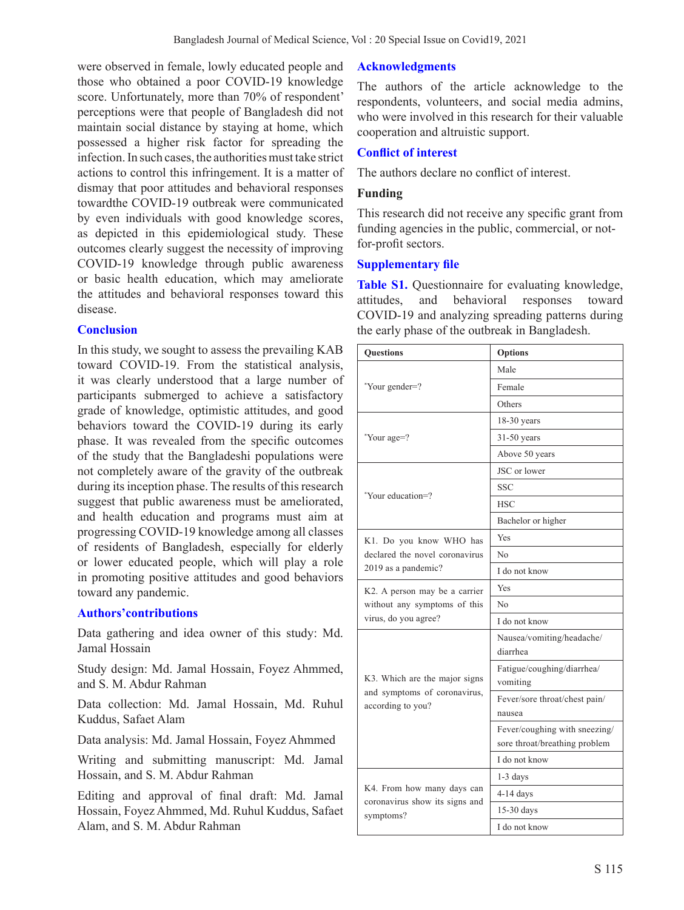were observed in female, lowly educated people and those who obtained a poor COVID-19 knowledge score. Unfortunately, more than 70% of respondent' perceptions were that people of Bangladesh did not maintain social distance by staying at home, which possessed a higher risk factor for spreading the infection. In such cases, the authorities must take strict actions to control this infringement. It is a matter of dismay that poor attitudes and behavioral responses towardthe COVID-19 outbreak were communicated by even individuals with good knowledge scores, as depicted in this epidemiological study. These outcomes clearly suggest the necessity of improving COVID-19 knowledge through public awareness or basic health education, which may ameliorate the attitudes and behavioral responses toward this disease.

# **Conclusion**

In this study, we sought to assess the prevailing KAB toward COVID-19. From the statistical analysis, it was clearly understood that a large number of participants submerged to achieve a satisfactory grade of knowledge, optimistic attitudes, and good behaviors toward the COVID-19 during its early phase. It was revealed from the specific outcomes of the study that the Bangladeshi populations were not completely aware of the gravity of the outbreak during its inception phase. The results of this research suggest that public awareness must be ameliorated, and health education and programs must aim at progressing COVID-19 knowledge among all classes of residents of Bangladesh, especially for elderly or lower educated people, which will play a role in promoting positive attitudes and good behaviors toward any pandemic.

# **Authors'contributions**

Data gathering and idea owner of this study: Md. Jamal Hossain

Study design: Md. Jamal Hossain, Foyez Ahmmed, and S. M. Abdur Rahman

Data collection: Md. Jamal Hossain, Md. Ruhul Kuddus, Safaet Alam

Data analysis: Md. Jamal Hossain, Foyez Ahmmed

Writing and submitting manuscript: Md. Jamal Hossain, and S. M. Abdur Rahman

Editing and approval of final draft: Md. Jamal Hossain, Foyez Ahmmed, Md. Ruhul Kuddus, Safaet Alam, and S. M. Abdur Rahman

# **Acknowledgments**

The authors of the article acknowledge to the respondents, volunteers, and social media admins, who were involved in this research for their valuable cooperation and altruistic support.

### **Conflict of interest**

The authors declare no conflict of interest.

### **Funding**

This research did not receive any specific grant from funding agencies in the public, commercial, or notfor-profit sectors.

### **Supplementary file**

**Table S1.** Questionnaire for evaluating knowledge, attitudes, and behavioral responses toward COVID-19 and analyzing spreading patterns during the early phase of the outbreak in Bangladesh.

| <b>Questions</b>               | <b>Options</b>                          |  |  |  |
|--------------------------------|-----------------------------------------|--|--|--|
|                                | Male                                    |  |  |  |
| *Your gender=?                 | Female                                  |  |  |  |
|                                | Others                                  |  |  |  |
|                                | $18-30$ years                           |  |  |  |
| *Your age=?                    | $31-50$ years                           |  |  |  |
|                                | Above 50 years                          |  |  |  |
|                                | JSC or lower                            |  |  |  |
| *Your education=?              | SSC                                     |  |  |  |
|                                | <b>HSC</b>                              |  |  |  |
|                                | Bachelor or higher                      |  |  |  |
| K1. Do you know WHO has        | Yes                                     |  |  |  |
| declared the novel coronavirus | N <sub>0</sub>                          |  |  |  |
| 2019 as a pandemic?            | I do not know                           |  |  |  |
| K2. A person may be a carrier  | Yes                                     |  |  |  |
| without any symptoms of this   | No                                      |  |  |  |
| virus, do you agree?           | I do not know                           |  |  |  |
|                                | Nausea/vomiting/headache/               |  |  |  |
|                                | diarrhea                                |  |  |  |
| K3. Which are the major signs  | Fatigue/coughing/diarrhea/              |  |  |  |
| and symptoms of coronavirus,   | vomiting                                |  |  |  |
| according to you?              | Fever/sore throat/chest pain/<br>nausea |  |  |  |
|                                | Fever/coughing with sneezing/           |  |  |  |
|                                | sore throat/breathing problem           |  |  |  |
|                                | I do not know                           |  |  |  |
|                                | $1-3$ days                              |  |  |  |
| K4. From how many days can     | $4-14$ days                             |  |  |  |
| coronavirus show its signs and | 15-30 days                              |  |  |  |
| symptoms?                      | I do not know                           |  |  |  |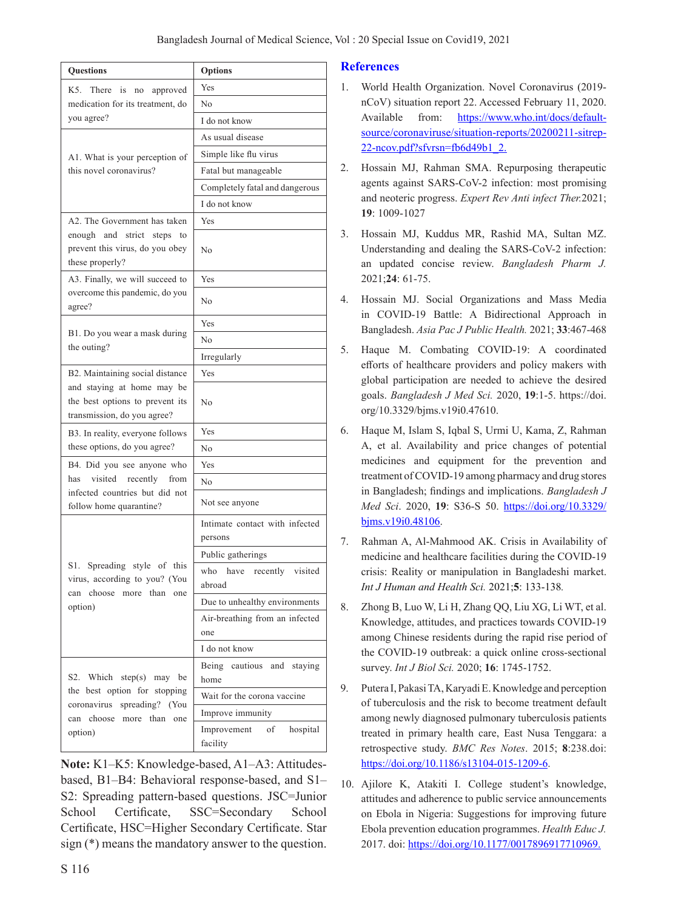| Questions                                                                                    | <b>Options</b>                        |  |  |  |  |
|----------------------------------------------------------------------------------------------|---------------------------------------|--|--|--|--|
| K5. There is no approved                                                                     | Yes                                   |  |  |  |  |
| medication for its treatment, do                                                             | No                                    |  |  |  |  |
| you agree?                                                                                   | I do not know                         |  |  |  |  |
|                                                                                              | As usual disease                      |  |  |  |  |
| A1. What is your perception of                                                               | Simple like flu virus                 |  |  |  |  |
| this novel coronavirus?                                                                      | Fatal but manageable                  |  |  |  |  |
|                                                                                              | Completely fatal and dangerous        |  |  |  |  |
|                                                                                              | I do not know                         |  |  |  |  |
| A2. The Government has taken                                                                 | Yes                                   |  |  |  |  |
| enough and strict steps<br>to<br>prevent this virus, do you obey<br>these properly?          | No                                    |  |  |  |  |
| A3. Finally, we will succeed to                                                              | Yes                                   |  |  |  |  |
| overcome this pandemic, do you<br>agree?                                                     | No                                    |  |  |  |  |
|                                                                                              | Yes                                   |  |  |  |  |
| B1. Do you wear a mask during<br>the outing?                                                 | No                                    |  |  |  |  |
|                                                                                              | Irregularly                           |  |  |  |  |
| B2. Maintaining social distance                                                              | Yes                                   |  |  |  |  |
| and staying at home may be<br>the best options to prevent its<br>transmission, do you agree? | No                                    |  |  |  |  |
| B3. In reality, everyone follows                                                             | Yes                                   |  |  |  |  |
| these options, do you agree?                                                                 | No                                    |  |  |  |  |
| B4. Did you see anyone who                                                                   | Yes                                   |  |  |  |  |
| recently<br>visited<br>has<br>from                                                           | No                                    |  |  |  |  |
| infected countries but did not<br>follow home quarantine?                                    | Not see anyone                        |  |  |  |  |
|                                                                                              | Intimate contact with infected        |  |  |  |  |
|                                                                                              | persons                               |  |  |  |  |
| S1.                                                                                          | Public gatherings                     |  |  |  |  |
| Spreading style of this<br>virus, according to you? (You                                     | who have recently visited<br>abroad   |  |  |  |  |
| can choose more than one                                                                     | Due to unhealthy environments         |  |  |  |  |
| option)                                                                                      |                                       |  |  |  |  |
|                                                                                              | Air-breathing from an infected<br>one |  |  |  |  |
|                                                                                              | I do not know                         |  |  |  |  |
| S2. Which step(s) may be                                                                     | Being cautious and staying<br>home    |  |  |  |  |
| the best option for stopping                                                                 | Wait for the corona vaccine           |  |  |  |  |
| coronavirus spreading? (You                                                                  | Improve immunity                      |  |  |  |  |
| can choose more than one                                                                     | Improvement<br>of<br>hospital         |  |  |  |  |
| option)                                                                                      | facility                              |  |  |  |  |

**Note:** K1–K5: Knowledge-based, A1–A3: Attitudesbased, B1–B4: Behavioral response-based, and S1– S2: Spreading pattern-based questions. JSC=Junior School Certificate, SSC=Secondary School Certificate, HSC=Higher Secondary Certificate. Star sign (\*) means the mandatory answer to the question.

# **References**

- 1. World Health Organization. Novel Coronavirus (2019 nCoV) situation report 22. Accessed February 11, 2020. Available from: https://www.who.int/docs/defaultsource/coronaviruse/situation-reports/20200211-sitrep-22-ncov.pdf?sfvrsn=fb6d49b1\_2.
- 2. Hossain MJ, Rahman SMA. Repurposing therapeutic agents against SARS-CoV-2 infection: most promising and neoteric progress. *Expert Rev Anti infect Ther.*2021; **19**: 1009-1027
- 3. Hossain MJ, Kuddus MR, Rashid MA, Sultan MZ. Understanding and dealing the SARS-CoV-2 infection: an updated concise review. *Bangladesh Pharm J.* 2021;**24**: 61-75.
- 4. Hossain MJ. Social Organizations and Mass Media in COVID-19 Battle: A Bidirectional Approach in Bangladesh. *Asia Pac J Public Health.* 2021; **33**:467-468
- 5. Haque M. Combating COVID-19: A coordinated efforts of healthcare providers and policy makers with global participation are needed to achieve the desired goals. *Bangladesh J Med Sci.* 2020, **19**:1-5. https://doi. org/10.3329/bjms.v19i0.47610.
- 6. Haque M, Islam S, Iqbal S, Urmi U, Kama, Z, Rahman A, et al. Availability and price changes of potential medicines and equipment for the prevention and treatment of COVID-19 among pharmacy and drug stores in Bangladesh; findings and implications. *Bangladesh J Med Sci*. 2020, **19**: S36-S 50. https://doi.org/10.3329/ bjms.v19i0.48106.
- 7. Rahman A, Al-Mahmood AK. Crisis in Availability of medicine and healthcare facilities during the COVID-19 crisis: Reality or manipulation in Bangladeshi market. *Int J Human and Health Sci.* 2021;**5**: 133-138*.*
- 8. Zhong B, Luo W, Li H, Zhang QQ, Liu XG, Li WT, et al. Knowledge, attitudes, and practices towards COVID-19 among Chinese residents during the rapid rise period of the COVID-19 outbreak: a quick online cross-sectional survey. *Int J Biol Sci.* 2020; **16**: 1745-1752.
- 9. Putera I, Pakasi TA, Karyadi E. Knowledge and perception of tuberculosis and the risk to become treatment default among newly diagnosed pulmonary tuberculosis patients treated in primary health care, East Nusa Tenggara: a retrospective study. *BMC Res Notes*. 2015; **8**:238.doi: https://doi.org/10.1186/s13104-015-1209-6.
- 10. Ajilore K, Atakiti I. College student's knowledge, attitudes and adherence to public service announcements on Ebola in Nigeria: Suggestions for improving future Ebola prevention education programmes. *Health Educ J.* 2017. doi: https://doi.org/10.1177/0017896917710969.